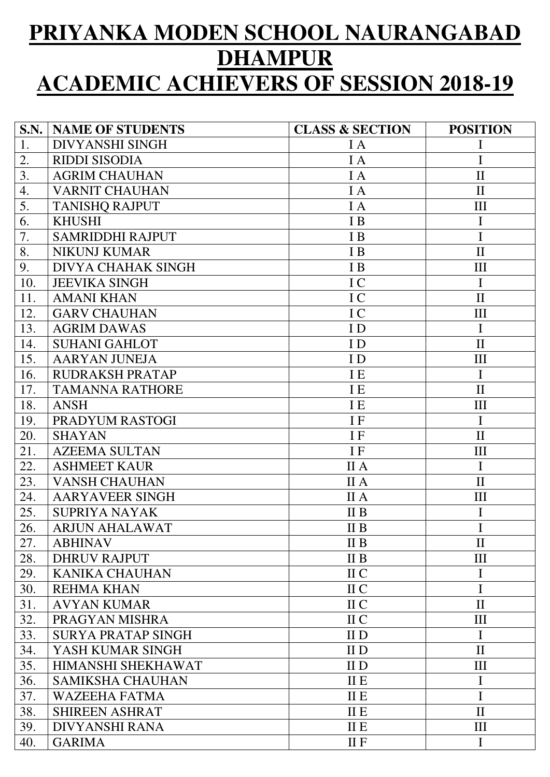## **PRIYANKA MODEN SCHOOL NAURANGABAD DHAMPUR ACADEMIC ACHIEVERS OF SESSION 2018-19**

| S.N. | <b>NAME OF STUDENTS</b>   | <b>CLASS &amp; SECTION</b> | <b>POSITION</b>    |
|------|---------------------------|----------------------------|--------------------|
| 1.   | <b>DIVYANSHI SINGH</b>    | I A                        | Ι                  |
| 2.   | <b>RIDDI SISODIA</b>      | I A                        | I                  |
| 3.   | <b>AGRIM CHAUHAN</b>      | I A                        | $\mathbf{I}$       |
| 4.   | <b>VARNIT CHAUHAN</b>     | I A                        | $\mathbf{I}$       |
| 5.   | <b>TANISHO RAJPUT</b>     | I A                        | III                |
| 6.   | <b>KHUSHI</b>             | I B                        | $\mathbf I$        |
| 7.   | <b>SAMRIDDHI RAJPUT</b>   | I B                        | $\mathbf I$        |
| 8.   | <b>NIKUNJ KUMAR</b>       | I B                        | $\mathbf{I}$       |
| 9.   | <b>DIVYA CHAHAK SINGH</b> | I B                        | III                |
| 10.  | <b>JEEVIKA SINGH</b>      | I C                        | $\mathbf I$        |
| 11.  | <b>AMANI KHAN</b>         | I C                        | $\mathbf{I}$       |
| 12.  | <b>GARV CHAUHAN</b>       | IC                         | III                |
| 13.  | <b>AGRIM DAWAS</b>        | ID                         | $\mathbf I$        |
| 14.  | <b>SUHANI GAHLOT</b>      | ID                         | $\mathbf{I}$       |
| 15.  | <b>AARYAN JUNEJA</b>      | ID                         | $\rm III$          |
| 16.  | <b>RUDRAKSH PRATAP</b>    | I E                        | $\mathbf I$        |
| 17.  | <b>TAMANNA RATHORE</b>    | <b>IE</b>                  | $\mathbf{I}$       |
| 18.  | <b>ANSH</b>               | I E                        | III                |
| 19.  | PRADYUM RASTOGI           | IF                         | $\mathbf I$        |
| 20.  | <b>SHAYAN</b>             | IF                         | $\mathbf{I}$       |
| 21.  | <b>AZEEMA SULTAN</b>      | IF                         | III                |
| 22.  | <b>ASHMEET KAUR</b>       | II A                       | $\mathbf I$        |
| 23.  | <b>VANSH CHAUHAN</b>      | II A                       | $\mathbf{I}$       |
| 24.  | <b>AARYAVEER SINGH</b>    | II A                       | $\mathop{\rm III}$ |
| 25.  | <b>SUPRIYA NAYAK</b>      | II <sub>B</sub>            | I                  |
| 26.  | <b>ARJUN AHALAWAT</b>     | $\mathbf{II} \mathbf{B}$   | I                  |
| 27.  | <b>ABHINAV</b>            | II B                       | $\mathbf{I}$       |
| 28.  | <b>DHRUV RAJPUT</b>       | $\mathbf{II} \mathbf{B}$   | III                |
| 29.  | <b>KANIKA CHAUHAN</b>     | II C                       | I                  |
| 30.  | <b>REHMA KHAN</b>         | II C                       | I                  |
| 31.  | <b>AVYAN KUMAR</b>        | II C                       | $\mathbf{I}$       |
| 32.  | PRAGYAN MISHRA            | II C                       | III                |
| 33.  | <b>SURYA PRATAP SINGH</b> | II D                       | $\mathbf I$        |
| 34.  | YASH KUMAR SINGH          | II D                       | $\mathbf{I}$       |
| 35.  | HIMANSHI SHEKHAWAT        | II D                       | III                |
| 36.  | <b>SAMIKSHA CHAUHAN</b>   | <b>II E</b>                | $\mathbf I$        |
| 37.  | <b>WAZEEHA FATMA</b>      | <b>IIE</b>                 | I                  |
| 38.  | <b>SHIREEN ASHRAT</b>     | <b>II E</b>                | $\mathbf{I}$       |
| 39.  | <b>DIVYANSHI RANA</b>     | II E                       | III                |
| 40.  | <b>GARIMA</b>             | <b>IIF</b>                 | $\mathbf I$        |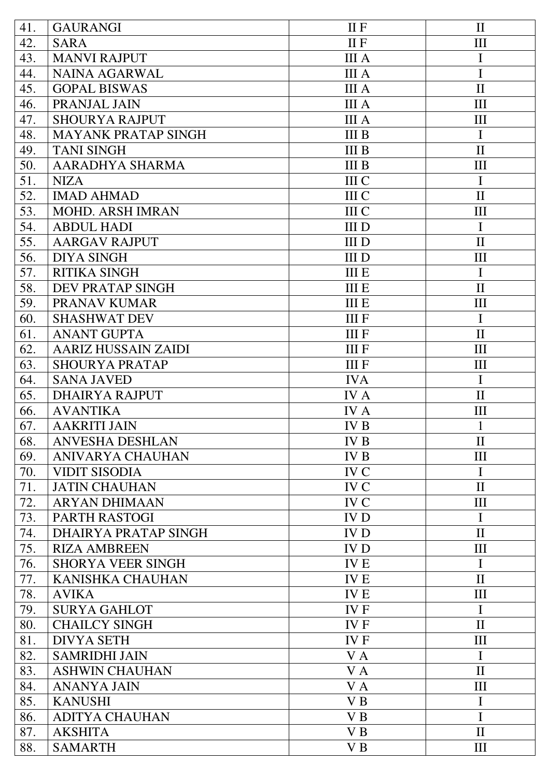| 41.        | <b>GAURANGI</b>            | <b>IIF</b>     | $\mathbf{I}$       |
|------------|----------------------------|----------------|--------------------|
| 42.        | <b>SARA</b>                | <b>IIF</b>     | III                |
| 43.        | <b>MANVI RAJPUT</b>        | <b>III</b> A   | $\mathbf I$        |
| 44.        | <b>NAINA AGARWAL</b>       | <b>III</b> A   | $\mathbf I$        |
| 45.        | <b>GOPAL BISWAS</b>        | <b>III</b> A   | $\mathbf{I}$       |
| 46.        | PRANJAL JAIN               | <b>III</b> A   | III                |
| 47.        | <b>SHOURYA RAJPUT</b>      | <b>III</b> A   | III                |
| 48.        | <b>MAYANK PRATAP SINGH</b> | <b>III</b> B   | $\mathbf I$        |
| 49.        | <b>TANI SINGH</b>          | <b>III</b> B   | $\mathbf{I}$       |
| 50.        | AARADHYA SHARMA            | <b>III B</b>   | III                |
| 51.        | <b>NIZA</b>                | <b>III</b> C   | $\mathbf I$        |
| 52.        | <b>IMAD AHMAD</b>          | III C          | $\mathbf{I}$       |
| 53.        | <b>MOHD. ARSH IMRAN</b>    | <b>III</b> C   | III                |
| 54.        | <b>ABDUL HADI</b>          | <b>III</b> D   | $\mathbf I$        |
| 55.        | <b>AARGAV RAJPUT</b>       | <b>IIID</b>    | $\mathbf{I}$       |
| 56.        | <b>DIYA SINGH</b>          | III D          | III                |
| 57.        | <b>RITIKA SINGH</b>        | <b>III E</b>   | $\mathbf I$        |
| 58.        | DEV PRATAP SINGH           | <b>III E</b>   | $\mathbf{I}$       |
| 59.        | PRANAV KUMAR               | <b>III E</b>   | III                |
| 60.        | <b>SHASHWAT DEV</b>        | <b>III</b> F   | $\mathbf I$        |
| 61.        | <b>ANANT GUPTA</b>         | <b>IIIF</b>    | $\mathbf{I}$       |
| 62.        | <b>AARIZ HUSSAIN ZAIDI</b> | <b>IIIF</b>    | III                |
| 63.        | <b>SHOURYA PRATAP</b>      | <b>IIIF</b>    | III                |
| 64.        | <b>SANA JAVED</b>          | <b>IVA</b>     | $\mathbf I$        |
| 65.        | <b>DHAIRYA RAJPUT</b>      | <b>IVA</b>     | $\mathbf{I}$       |
| 66.        | <b>AVANTIKA</b>            | <b>IVA</b>     | III                |
|            |                            |                |                    |
| 67.<br>68. | <b>AAKRITI JAIN</b>        | <b>IVB</b>     | $\mathbf{I}$       |
|            | <b>ANVESHA DESHLAN</b>     | IV B           |                    |
| 69.        | <b>ANIVARYA CHAUHAN</b>    | <b>IVB</b>     | III                |
| 70.        | <b>VIDIT SISODIA</b>       | IV C           | $\mathbf I$        |
| 71.        | <b>JATIN CHAUHAN</b>       | <b>IVC</b>     | $\mathbf{I}$       |
| 72.        | <b>ARYAN DHIMAAN</b>       | <b>IVC</b>     | III                |
| 73.        | PARTH RASTOGI              | <b>IVD</b>     | $\mathbf I$        |
| 74.        | DHAIRYA PRATAP SINGH       | <b>IVD</b>     | $\mathbf{I}$       |
| 75.        | <b>RIZA AMBREEN</b>        | <b>IVD</b>     | III                |
| 76.        | <b>SHORYA VEER SINGH</b>   | <b>IVE</b>     | $\mathbf I$        |
| 77.        | <b>KANISHKA CHAUHAN</b>    | <b>IVE</b>     | $\mathbf{I}$       |
| 78.        | <b>AVIKA</b>               | <b>IVE</b>     | III                |
| 79.        | <b>SURYA GAHLOT</b>        | <b>IVF</b>     | $\mathbf I$        |
| 80.        | <b>CHAILCY SINGH</b>       | IV F           | $\mathbf{I}$       |
| 81.        | <b>DIVYA SETH</b>          | <b>IVF</b>     | III                |
| 82.        | <b>SAMRIDHI JAIN</b>       | V A            | $\mathbf I$        |
| 83.        | <b>ASHWIN CHAUHAN</b>      | VA             | $\mathbf{I}$       |
| 84.        | <b>ANANYA JAIN</b>         | V A            | $\mathop{\rm III}$ |
| 85.        | <b>KANUSHI</b>             | V <sub>B</sub> | $\mathbf I$        |
| 86.        | <b>ADITYA CHAUHAN</b>      | V <sub>B</sub> | $\mathbf I$        |
| 87.        | <b>AKSHITA</b>             | V <sub>B</sub> | $\mathbf{I}$       |
| 88.        | <b>SAMARTH</b>             | V <sub>B</sub> | III                |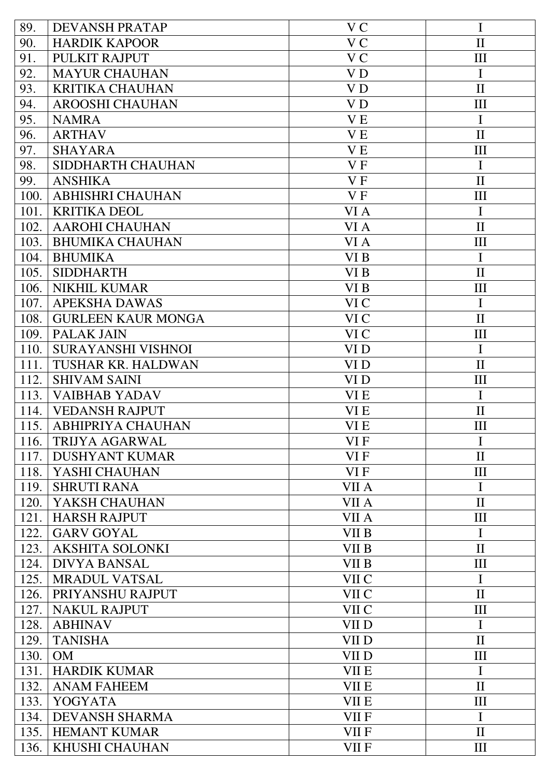| 89.  | <b>DEVANSH PRATAP</b>     | V C            | I                  |
|------|---------------------------|----------------|--------------------|
| 90.  | <b>HARDIK KAPOOR</b>      | V <sub>C</sub> | $\mathbf{I}$       |
| 91.  | PULKIT RAJPUT             | V <sub>C</sub> | III                |
| 92.  | <b>MAYUR CHAUHAN</b>      | V <sub>D</sub> | $\mathbf I$        |
| 93.  | <b>KRITIKA CHAUHAN</b>    | V <sub>D</sub> | $\mathbf{I}$       |
| 94.  | <b>AROOSHI CHAUHAN</b>    | V <sub>D</sub> | III                |
| 95.  | <b>NAMRA</b>              | V <sub>E</sub> | $\mathbf I$        |
| 96.  | <b>ARTHAV</b>             | V <sub>E</sub> | $\mathbf{I}$       |
| 97.  | <b>SHAYARA</b>            | <b>VE</b>      | III                |
| 98.  | SIDDHARTH CHAUHAN         | V <sub>F</sub> | $\mathbf I$        |
| 99.  | <b>ANSHIKA</b>            | VF             | $\mathbf{I}$       |
| 100. | <b>ABHISHRI CHAUHAN</b>   | VF             | III                |
| 101. | <b>KRITIKA DEOL</b>       | VI A           | $\mathbf I$        |
| 102. | <b>AAROHI CHAUHAN</b>     | VI A           | $\mathbf{I}$       |
| 103. | <b>BHUMIKA CHAUHAN</b>    | VI A           | III                |
| 104. | <b>BHUMIKA</b>            | VI B           | $\mathbf I$        |
| 105. | <b>SIDDHARTH</b>          | VI B           | $\mathbf{I}$       |
| 106. | <b>NIKHIL KUMAR</b>       | VI B           | III                |
| 107. | <b>APEKSHA DAWAS</b>      | VI C           | $\mathbf I$        |
| 108. | <b>GURLEEN KAUR MONGA</b> | VI C           | $\mathbf{I}$       |
| 109. | <b>PALAK JAIN</b>         | VI C           | III                |
| 110. | SURAYANSHI VISHNOI        | VI D           | $\mathbf I$        |
| 111. | <b>TUSHAR KR. HALDWAN</b> | VI D           | $\mathbf{I}$       |
| 112. | <b>SHIVAM SAINI</b>       | VI D           | III                |
| 113. | <b>VAIBHAB YADAV</b>      | VI E           | $\mathbf I$        |
| 114. | <b>VEDANSH RAJPUT</b>     | VI E           | $\mathbf{I}$       |
| 115. | <b>ABHIPRIYA CHAUHAN</b>  | VI E           | Ш                  |
| 116. | TRIJYA AGARWAL            | VI F           | I                  |
| 117. | <b>DUSHYANT KUMAR</b>     | VI F           | $\mathbf{I}$       |
| 118. | YASHI CHAUHAN             | VI F           | III                |
| 119. | <b>SHRUTI RANA</b>        | VII A          | $\mathbf I$        |
| 120. | YAKSH CHAUHAN             | VII A          | $\mathbf{I}$       |
| 121. | <b>HARSH RAJPUT</b>       | VII A          | III                |
| 122. | <b>GARV GOYAL</b>         | VII B          | $\mathbf I$        |
| 123. | <b>AKSHITA SOLONKI</b>    | VII B          | $\mathbf{I}$       |
| 124. | <b>DIVYA BANSAL</b>       | VII B          | $\mathop{\rm III}$ |
| 125. | <b>MRADUL VATSAL</b>      | VII C          | $\mathbf I$        |
| 126. | PRIYANSHU RAJPUT          | VII C          | $\mathbf{I}$       |
| 127. | <b>NAKUL RAJPUT</b>       | VII C          | III                |
| 128. | <b>ABHINAV</b>            | VII D          | $\mathbf I$        |
| 129. | <b>TANISHA</b>            | VII D          | $\mathbf{I}$       |
| 130. | <b>OM</b>                 | VII D          | III                |
| 131. | <b>HARDIK KUMAR</b>       | <b>VII E</b>   | $\mathbf I$        |
| 132. | <b>ANAM FAHEEM</b>        | <b>VII E</b>   | $\mathbf{I}$       |
| 133. | <b>YOGYATA</b>            | <b>VII E</b>   | III                |
| 134. | <b>DEVANSH SHARMA</b>     | VII F          | $\mathbf I$        |
| 135. | <b>HEMANT KUMAR</b>       | VII F          | $\mathbf{I}$       |
| 136. | KHUSHI CHAUHAN            | VII F          | Ш                  |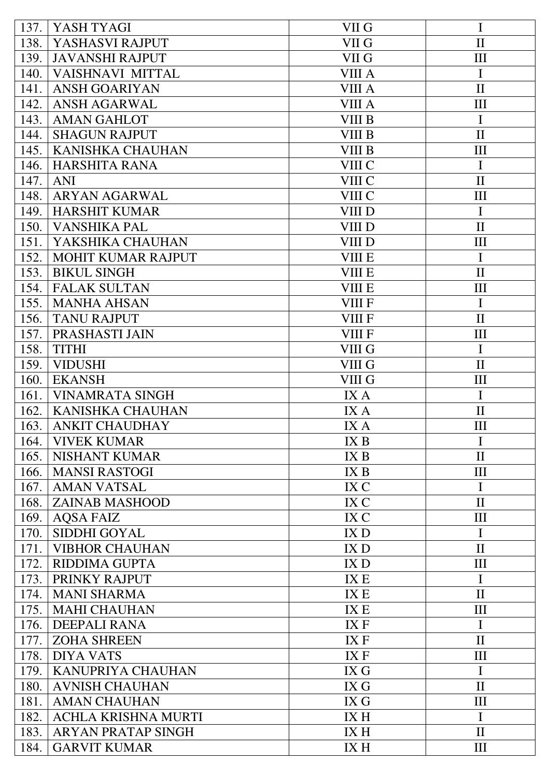| 137. | YASH TYAGI                 | VII G             | $\mathbf I$        |
|------|----------------------------|-------------------|--------------------|
| 138. | YASHASVI RAJPUT            | VII G             | $\mathbf{I}$       |
| 139. | <b>JAVANSHI RAJPUT</b>     | VII G             | III                |
| 140. | <b>VAISHNAVI MITTAL</b>    | <b>VIII A</b>     | I                  |
| 141. | <b>ANSH GOARIYAN</b>       | <b>VIII A</b>     | $\mathbf{I}$       |
| 142. | <b>ANSH AGARWAL</b>        | VIII A            | III                |
| 143. | <b>AMAN GAHLOT</b>         | VIII B            | I                  |
| 144. | <b>SHAGUN RAJPUT</b>       | VIII B            | $\mathbf{I}$       |
| 145. | <b>KANISHKA CHAUHAN</b>    | VIII B            | III                |
| 146. | <b>HARSHITA RANA</b>       | VIII C            | $\mathbf I$        |
| 147. | <b>ANI</b>                 | VIII C            | $\mathbf{I}$       |
| 148. | <b>ARYAN AGARWAL</b>       | VIII C            | III                |
| 149. | <b>HARSHIT KUMAR</b>       | VIII D            | $\mathbf I$        |
| 150. | <b>VANSHIKA PAL</b>        | VIII D            | $\mathbf{I}$       |
| 151. | YAKSHIKA CHAUHAN           | VIII D            | III                |
| 152. | <b>MOHIT KUMAR RAJPUT</b>  | <b>VIII E</b>     | $\mathbf I$        |
| 153. | <b>BIKUL SINGH</b>         | <b>VIII E</b>     | $\mathbf{I}$       |
| 154. | <b>FALAK SULTAN</b>        | <b>VIII E</b>     | III                |
| 155. | <b>MANHA AHSAN</b>         | <b>VIII F</b>     | $\mathbf I$        |
| 156. | <b>TANU RAJPUT</b>         | <b>VIII F</b>     | $\mathbf{I}$       |
| 157. | PRASHASTI JAIN             | <b>VIII F</b>     | III                |
| 158. | <b>TITHI</b>               | VIII G            | $\mathbf I$        |
| 159. | <b>VIDUSHI</b>             | VIII <sub>G</sub> | $\mathbf{I}$       |
| 160. | <b>EKANSH</b>              | VIII G            | III                |
| 161. | <b>VINAMRATA SINGH</b>     | IX A              | $\mathbf I$        |
| 162. | <b>KANISHKA CHAUHAN</b>    | IX A              | $\mathbf{I}$       |
| 163. | <b>ANKIT CHAUDHAY</b>      | IX A              | III                |
| 164. | <b>VIVEK KUMAR</b>         | IX <sub>B</sub>   | I                  |
| 165. | <b>NISHANT KUMAR</b>       | IX <sub>B</sub>   | $\mathbf{I}$       |
| 166. | <b>MANSI RASTOGI</b>       | IX B              | III                |
| 167. | <b>AMAN VATSAL</b>         | IX C              | I                  |
| 168. | <b>ZAINAB MASHOOD</b>      | IX C              | $\mathbf{I}$       |
| 169. | <b>AQSA FAIZ</b>           | IX C              | $\mathop{\rm III}$ |
| 170. | <b>SIDDHI GOYAL</b>        | IX D              | I                  |
| 171. | <b>VIBHOR CHAUHAN</b>      | IX D              | $\mathbf{I}$       |
| 172. | <b>RIDDIMA GUPTA</b>       | IX D              | III                |
| 173. | PRINKY RAJPUT              | IX E              | I                  |
| 174. | <b>MANI SHARMA</b>         | IX E              | $\mathbf{I}$       |
| 175. | <b>MAHI CHAUHAN</b>        | IX E              | $\mathop{\rm III}$ |
| 176. | <b>DEEPALI RANA</b>        | IX F              | I                  |
| 177. | <b>ZOHA SHREEN</b>         | IX F              | $\mathbf{I}$       |
| 178. | <b>DIYA VATS</b>           | IX F              | III                |
| 179. | <b>KANUPRIYA CHAUHAN</b>   | IX G              | I                  |
| 180. | <b>AVNISH CHAUHAN</b>      | IX G              | $\mathbf{I}$       |
| 181. | <b>AMAN CHAUHAN</b>        | IX G              | III                |
| 182. | <b>ACHLA KRISHNA MURTI</b> | IX H              | $\mathbf I$        |
| 183. | <b>ARYAN PRATAP SINGH</b>  | IX H              | $\mathbf{I}$       |
| 184. | <b>GARVIT KUMAR</b>        | IX H              | III                |